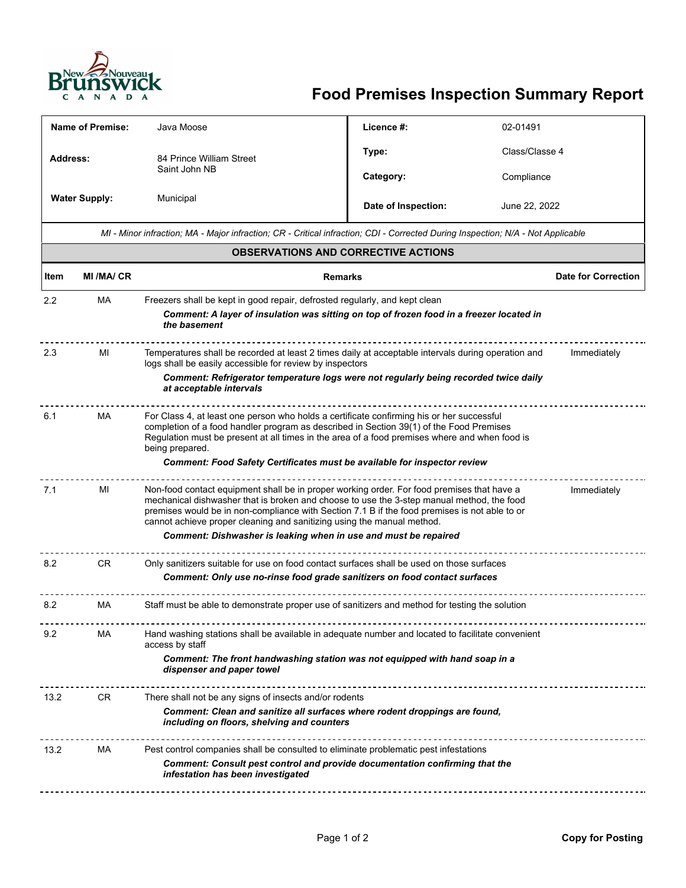

## **Food Premises Inspection Summary Report**

| <b>Name of Premise:</b>                                                                                                         |                                                                                                                                                                                                                                                                                                                | Java Moose                                                                                                                                                                                                                                                                                                                                                                        | Licence #:          | 02-01491 |                            |  |
|---------------------------------------------------------------------------------------------------------------------------------|----------------------------------------------------------------------------------------------------------------------------------------------------------------------------------------------------------------------------------------------------------------------------------------------------------------|-----------------------------------------------------------------------------------------------------------------------------------------------------------------------------------------------------------------------------------------------------------------------------------------------------------------------------------------------------------------------------------|---------------------|----------|----------------------------|--|
| <b>Address:</b>                                                                                                                 |                                                                                                                                                                                                                                                                                                                | 84 Prince William Street<br>Saint John NB                                                                                                                                                                                                                                                                                                                                         | Type:               |          | Class/Classe 4             |  |
|                                                                                                                                 |                                                                                                                                                                                                                                                                                                                |                                                                                                                                                                                                                                                                                                                                                                                   | Category:           |          | Compliance                 |  |
| <b>Water Supply:</b>                                                                                                            |                                                                                                                                                                                                                                                                                                                | Municipal                                                                                                                                                                                                                                                                                                                                                                         | Date of Inspection: |          | June 22, 2022              |  |
| MI - Minor infraction; MA - Major infraction; CR - Critical infraction; CDI - Corrected During Inspection; N/A - Not Applicable |                                                                                                                                                                                                                                                                                                                |                                                                                                                                                                                                                                                                                                                                                                                   |                     |          |                            |  |
| <b>OBSERVATIONS AND CORRECTIVE ACTIONS</b>                                                                                      |                                                                                                                                                                                                                                                                                                                |                                                                                                                                                                                                                                                                                                                                                                                   |                     |          |                            |  |
| Item                                                                                                                            | <b>MI/MA/CR</b>                                                                                                                                                                                                                                                                                                |                                                                                                                                                                                                                                                                                                                                                                                   | <b>Remarks</b>      |          | <b>Date for Correction</b> |  |
| $2.2\phantom{0}$                                                                                                                | МA                                                                                                                                                                                                                                                                                                             | Freezers shall be kept in good repair, defrosted regularly, and kept clean<br>Comment: A layer of insulation was sitting on top of frozen food in a freezer located in<br>the basement                                                                                                                                                                                            |                     |          |                            |  |
| 2.3                                                                                                                             | Temperatures shall be recorded at least 2 times daily at acceptable intervals during operation and<br>Immediately<br>МI<br>logs shall be easily accessible for review by inspectors                                                                                                                            |                                                                                                                                                                                                                                                                                                                                                                                   |                     |          |                            |  |
|                                                                                                                                 | Comment: Refrigerator temperature logs were not regularly being recorded twice daily<br>at acceptable intervals                                                                                                                                                                                                |                                                                                                                                                                                                                                                                                                                                                                                   |                     |          |                            |  |
| 6.1                                                                                                                             | MA<br>For Class 4, at least one person who holds a certificate confirming his or her successful<br>completion of a food handler program as described in Section 39(1) of the Food Premises<br>Regulation must be present at all times in the area of a food premises where and when food is<br>being prepared. |                                                                                                                                                                                                                                                                                                                                                                                   |                     |          |                            |  |
| Comment: Food Safety Certificates must be available for inspector review                                                        |                                                                                                                                                                                                                                                                                                                |                                                                                                                                                                                                                                                                                                                                                                                   |                     |          |                            |  |
| 7.1                                                                                                                             | MI                                                                                                                                                                                                                                                                                                             | Non-food contact equipment shall be in proper working order. For food premises that have a<br>Immediately<br>mechanical dishwasher that is broken and choose to use the 3-step manual method, the food<br>premises would be in non-compliance with Section 7.1 B if the food premises is not able to or<br>cannot achieve proper cleaning and sanitizing using the manual method. |                     |          |                            |  |
| Comment: Dishwasher is leaking when in use and must be repaired                                                                 |                                                                                                                                                                                                                                                                                                                |                                                                                                                                                                                                                                                                                                                                                                                   |                     |          |                            |  |
| 8.2                                                                                                                             | <b>CR</b>                                                                                                                                                                                                                                                                                                      | Only sanitizers suitable for use on food contact surfaces shall be used on those surfaces<br>Comment: Only use no-rinse food grade sanitizers on food contact surfaces                                                                                                                                                                                                            |                     |          |                            |  |
| 8.2                                                                                                                             | МA                                                                                                                                                                                                                                                                                                             | Staff must be able to demonstrate proper use of sanitizers and method for testing the solution                                                                                                                                                                                                                                                                                    |                     |          |                            |  |
| 9.2                                                                                                                             | МA                                                                                                                                                                                                                                                                                                             | Hand washing stations shall be available in adequate number and located to facilitate convenient<br>access by staff                                                                                                                                                                                                                                                               |                     |          |                            |  |
|                                                                                                                                 |                                                                                                                                                                                                                                                                                                                | Comment: The front handwashing station was not equipped with hand soap in a<br>dispenser and paper towel                                                                                                                                                                                                                                                                          |                     |          |                            |  |
| 13.2                                                                                                                            | CR.                                                                                                                                                                                                                                                                                                            | There shall not be any signs of insects and/or rodents                                                                                                                                                                                                                                                                                                                            |                     |          |                            |  |
|                                                                                                                                 |                                                                                                                                                                                                                                                                                                                | Comment: Clean and sanitize all surfaces where rodent droppings are found,<br>including on floors, shelving and counters                                                                                                                                                                                                                                                          |                     |          |                            |  |
| 13.2                                                                                                                            | Pest control companies shall be consulted to eliminate problematic pest infestations<br>МA<br><b>Comment: Consult pest control and provide documentation confirming that the</b><br>infestation has been investigated                                                                                          |                                                                                                                                                                                                                                                                                                                                                                                   |                     |          |                            |  |